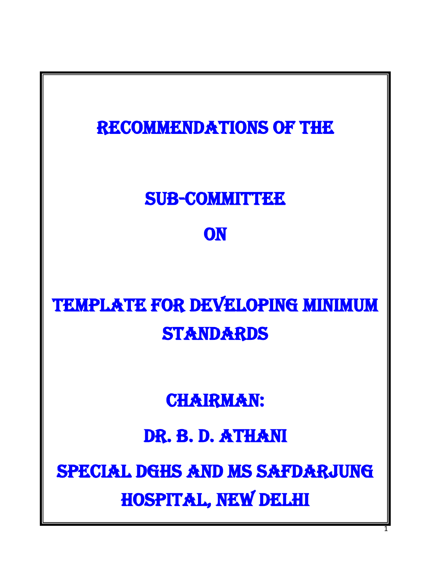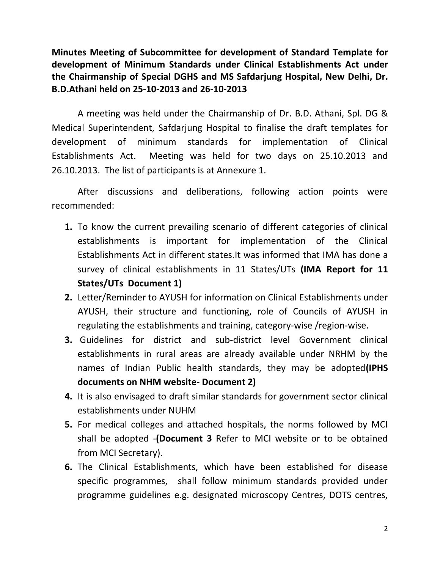**Minutes Meeting of Subcommittee for development of Standard Template for development of Minimum Standards under Clinical Establishments Act under the Chairmanship of Special DGHS and MS Safdarjung Hospital, New Delhi, Dr. B.D.Athani held on 25-10-2013 and 26-10-2013**

A meeting was held under the Chairmanship of Dr. B.D. Athani, Spl. DG & Medical Superintendent, Safdarjung Hospital to finalise the draft templates for development of minimum standards for implementation of Clinical Establishments Act. Meeting was held for two days on 25.10.2013 and 26.10.2013. The list of participants is at Annexure 1.

After discussions and deliberations, following action points were recommended:

- **1.** To know the current prevailing scenario of different categories of clinical establishments is important for implementation of the Clinical Establishments Act in different states.It was informed that IMA has done a survey of clinical establishments in 11 States/UTs **(IMA Report for 11 States/UTs Document 1)**
- **2.** Letter/Reminder to AYUSH for information on Clinical Establishments under AYUSH, their structure and functioning, role of Councils of AYUSH in regulating the establishments and training, category-wise /region-wise.
- **3.** Guidelines for district and sub-district level Government clinical establishments in rural areas are already available under NRHM by the names of Indian Public health standards, they may be adopted**(IPHS documents on NHM website- Document 2)**
- **4.** It is also envisaged to draft similar standards for government sector clinical establishments under NUHM
- **5.** For medical colleges and attached hospitals, the norms followed by MCI shall be adopted -**(Document 3** Refer to MCI website or to be obtained from MCI Secretary).
- **6.** The Clinical Establishments, which have been established for disease specific programmes, shall follow minimum standards provided under programme guidelines e.g. designated microscopy Centres, DOTS centres,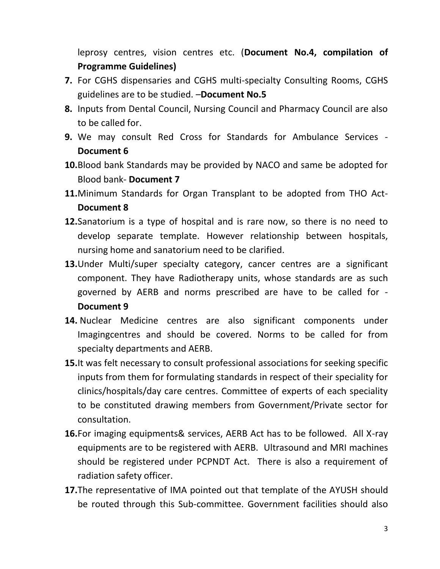leprosy centres, vision centres etc. (**Document No.4, compilation of Programme Guidelines)**

- **7.** For CGHS dispensaries and CGHS multi-specialty Consulting Rooms, CGHS guidelines are to be studied. –**Document No.5**
- **8.** Inputs from Dental Council, Nursing Council and Pharmacy Council are also to be called for.
- **9.** We may consult Red Cross for Standards for Ambulance Services **Document 6**
- **10.**Blood bank Standards may be provided by NACO and same be adopted for Blood bank- **Document 7**
- **11.**Minimum Standards for Organ Transplant to be adopted from THO Act-**Document 8**
- **12.**Sanatorium is a type of hospital and is rare now, so there is no need to develop separate template. However relationship between hospitals, nursing home and sanatorium need to be clarified.
- **13.**Under Multi/super specialty category, cancer centres are a significant component. They have Radiotherapy units, whose standards are as such governed by AERB and norms prescribed are have to be called for - **Document 9**
- **14.** Nuclear Medicine centres are also significant components under Imagingcentres and should be covered. Norms to be called for from specialty departments and AERB.
- **15.**It was felt necessary to consult professional associations for seeking specific inputs from them for formulating standards in respect of their speciality for clinics/hospitals/day care centres. Committee of experts of each speciality to be constituted drawing members from Government/Private sector for consultation.
- **16.**For imaging equipments& services, AERB Act has to be followed. All X-ray equipments are to be registered with AERB. Ultrasound and MRI machines should be registered under PCPNDT Act. There is also a requirement of radiation safety officer.
- **17.**The representative of IMA pointed out that template of the AYUSH should be routed through this Sub-committee. Government facilities should also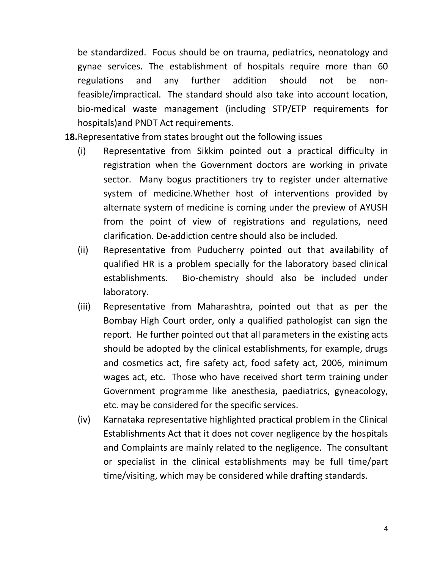be standardized. Focus should be on trauma, pediatrics, neonatology and gynae services. The establishment of hospitals require more than 60 regulations and any further addition should not be nonfeasible/impractical. The standard should also take into account location, bio-medical waste management (including STP/ETP requirements for hospitals)and PNDT Act requirements.

**18.**Representative from states brought out the following issues

- (i) Representative from Sikkim pointed out a practical difficulty in registration when the Government doctors are working in private sector. Many bogus practitioners try to register under alternative system of medicine.Whether host of interventions provided by alternate system of medicine is coming under the preview of AYUSH from the point of view of registrations and regulations, need clarification. De-addiction centre should also be included.
- (ii) Representative from Puducherry pointed out that availability of qualified HR is a problem specially for the laboratory based clinical establishments. Bio-chemistry should also be included under laboratory.
- (iii) Representative from Maharashtra, pointed out that as per the Bombay High Court order, only a qualified pathologist can sign the report. He further pointed out that all parameters in the existing acts should be adopted by the clinical establishments, for example, drugs and cosmetics act, fire safety act, food safety act, 2006, minimum wages act, etc. Those who have received short term training under Government programme like anesthesia, paediatrics, gyneacology, etc. may be considered for the specific services.
- (iv) Karnataka representative highlighted practical problem in the Clinical Establishments Act that it does not cover negligence by the hospitals and Complaints are mainly related to the negligence. The consultant or specialist in the clinical establishments may be full time/part time/visiting, which may be considered while drafting standards.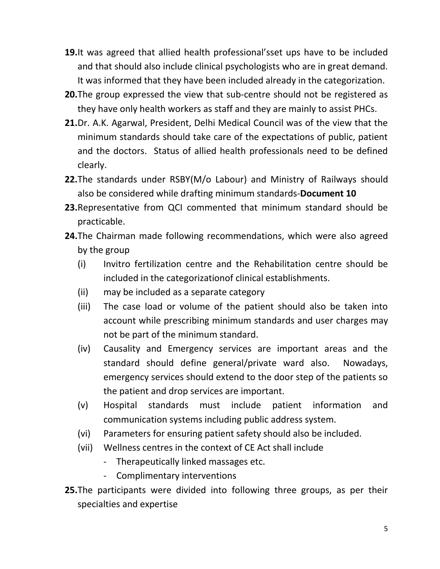- **19.**It was agreed that allied health professional'sset ups have to be included and that should also include clinical psychologists who are in great demand. It was informed that they have been included already in the categorization.
- **20.**The group expressed the view that sub-centre should not be registered as they have only health workers as staff and they are mainly to assist PHCs.
- **21.**Dr. A.K. Agarwal, President, Delhi Medical Council was of the view that the minimum standards should take care of the expectations of public, patient and the doctors. Status of allied health professionals need to be defined clearly.
- **22.**The standards under RSBY(M/o Labour) and Ministry of Railways should also be considered while drafting minimum standards-**Document 10**
- **23.**Representative from QCI commented that minimum standard should be practicable.
- **24.**The Chairman made following recommendations, which were also agreed by the group
	- (i) Invitro fertilization centre and the Rehabilitation centre should be included in the categorizationof clinical establishments.
	- (ii) may be included as a separate category
	- (iii) The case load or volume of the patient should also be taken into account while prescribing minimum standards and user charges may not be part of the minimum standard.
	- (iv) Causality and Emergency services are important areas and the standard should define general/private ward also. Nowadays, emergency services should extend to the door step of the patients so the patient and drop services are important.
	- (v) Hospital standards must include patient information and communication systems including public address system.
	- (vi) Parameters for ensuring patient safety should also be included.
	- (vii) Wellness centres in the context of CE Act shall include
		- Therapeutically linked massages etc.
		- Complimentary interventions
- **25.**The participants were divided into following three groups, as per their specialties and expertise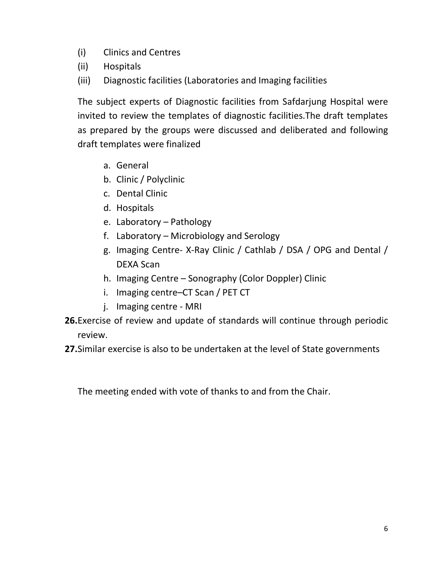- (i) Clinics and Centres
- (ii) Hospitals
- (iii) Diagnostic facilities (Laboratories and Imaging facilities

The subject experts of Diagnostic facilities from Safdarjung Hospital were invited to review the templates of diagnostic facilities.The draft templates as prepared by the groups were discussed and deliberated and following draft templates were finalized

- a. General
- b. Clinic / Polyclinic
- c. Dental Clinic
- d. Hospitals
- e. Laboratory Pathology
- f. Laboratory Microbiology and Serology
- g. Imaging Centre- X-Ray Clinic / Cathlab / DSA / OPG and Dental / DEXA Scan
- h. Imaging Centre Sonography (Color Doppler) Clinic
- i. Imaging centre–CT Scan / PET CT
- j. Imaging centre MRI
- **26.**Exercise of review and update of standards will continue through periodic review.
- **27.**Similar exercise is also to be undertaken at the level of State governments

The meeting ended with vote of thanks to and from the Chair.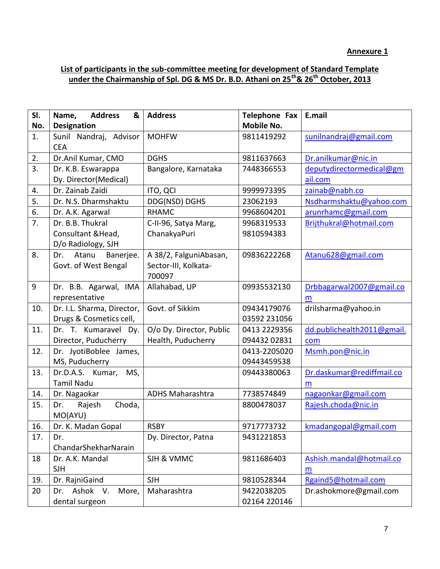## **List of participants in the sub-committee meeting for development of Standard Template under the Chairmanship of Spl. DG & MS Dr. B.D. Athani on 25th& 26th October, 2013**

| SI.   | Name,<br><b>Address</b><br>& | <b>Address</b>           | <b>Telephone Fax</b> | E.mail                     |
|-------|------------------------------|--------------------------|----------------------|----------------------------|
| No.   | <b>Designation</b>           |                          | <b>Mobile No.</b>    |                            |
| 1.    | Sunil Nandraj, Advisor       | <b>MOHFW</b>             | 9811419292           | sunilnandraj@gmail.com     |
|       | <b>CEA</b>                   |                          |                      |                            |
| 2.    | Dr.Anil Kumar, CMO           | <b>DGHS</b>              | 9811637663           | Dr.anilkumar@nic.in        |
| 3.    | Dr. K.B. Eswarappa           | Bangalore, Karnataka     | 7448366553           | deputydirectormedical@gm   |
|       | Dy. Director(Medical)        |                          |                      | ail.com                    |
| 4.    | Dr. Zainab Zaidi             | ITO, QCI                 | 9999973395           | zainab@nabh.co             |
| 5.    | Dr. N.S. Dharmshaktu         | DDG(NSD) DGHS            | 23062193             | Nsdharmshaktu@yahoo.com    |
| 6.    | Dr. A.K. Agarwal             | <b>RHAMC</b>             | 9968604201           | arunrhamc@gmail.com        |
| 7.    | Dr. B.B. Thukral             | C-II-96, Satya Marg,     | 9968319533           | Brijthukral@hotmail.com    |
|       | Consultant & Head,           | ChanakyaPuri             | 9810594383           |                            |
|       | D/o Radiology, SJH           |                          |                      |                            |
| 8.    | Atanu<br>Banerjee.<br>Dr.    | A 38/2, FalguniAbasan,   | 09836222268          | Atanu628@gmail.com         |
|       | Govt. of West Bengal         | Sector-III, Kolkata-     |                      |                            |
|       |                              | 700097                   |                      |                            |
| $9\,$ | Dr. B.B. Agarwal, IMA        | Allahabad, UP            | 09935532130          | Drbbagarwal2007@gmail.co   |
|       | representative               |                          |                      | m                          |
| 10.   | Dr. I.L. Sharma, Director,   | Govt. of Sikkim          | 09434179076          | drilsharma@yahoo.in        |
|       | Drugs & Cosmetics cell,      |                          | 03592 231056         |                            |
| 11.   | Dr. T. Kumaravel Dy.         | O/o Dy. Director, Public | 0413 2229356         | dd.publichealth2011@gmail. |
|       | Director, Puducherry         | Health, Puducherry       | 094432 02831         | com                        |
| 12.   | Dr. JyotiBoblee James,       |                          | 0413-2205020         | Msmh.pon@nic.in            |
|       | MS, Puducherry               |                          | 09443459538          |                            |
| 13.   | Dr.D.A.S. Kumar,<br>MS,      |                          | 09443380063          | Dr.daskumar@rediffmail.co  |
|       | <b>Tamil Nadu</b>            |                          |                      | m                          |
| 14.   | Dr. Nagaokar                 | <b>ADHS Maharashtra</b>  | 7738574849           | nagaonkar@gmail.com        |
| 15.   | Choda,<br>Dr.<br>Rajesh      |                          | 8800478037           | Rajesh.choda@nic.in        |
|       | MO(AYU)                      |                          |                      |                            |
| 16.   | Dr. K. Madan Gopal           | <b>RSBY</b>              | 9717773732           | kmadangopal@gmail.com      |
| 17.   | Dr.                          | Dy. Director, Patna      | 9431221853           |                            |
|       | ChandarShekharNarain         |                          |                      |                            |
| 18    | Dr. A.K. Mandal              | SJH & VMMC               | 9811686403           | Ashish.mandal@hotmail.co   |
|       | <b>SJH</b>                   |                          |                      | m                          |
| 19.   | Dr. RajniGaind               | <b>SJH</b>               | 9810528344           | Rgaind5@hotmail.com        |
| 20    | Ashok V.<br>More,<br>Dr.     | Maharashtra              | 9422038205           | Dr.ashokmore@gmail.com     |
|       | dental surgeon               |                          | 02164 220146         |                            |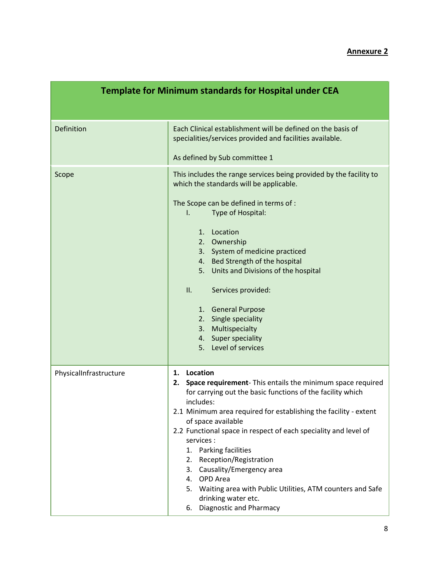|                        | <b>Template for Minimum standards for Hospital under CEA</b>                                                                                                                                                                                                                                                                                                                                                                                                                                                                                                                   |  |
|------------------------|--------------------------------------------------------------------------------------------------------------------------------------------------------------------------------------------------------------------------------------------------------------------------------------------------------------------------------------------------------------------------------------------------------------------------------------------------------------------------------------------------------------------------------------------------------------------------------|--|
| Definition             | Each Clinical establishment will be defined on the basis of<br>specialities/services provided and facilities available.<br>As defined by Sub committee 1                                                                                                                                                                                                                                                                                                                                                                                                                       |  |
| Scope                  | This includes the range services being provided by the facility to<br>which the standards will be applicable.<br>The Scope can be defined in terms of :<br>Type of Hospital:<br>$\mathsf{L}$<br>1. Location<br>2. Ownership<br>3. System of medicine practiced<br>4. Bed Strength of the hospital<br>5. Units and Divisions of the hospital<br>ΙΙ.<br>Services provided:<br>1. General Purpose<br>2. Single speciality<br>3. Multispecialty<br>4. Super speciality<br>5. Level of services                                                                                     |  |
| PhysicalInfrastructure | Location<br>1.<br>Space requirement- This entails the minimum space required<br>2.<br>for carrying out the basic functions of the facility which<br>includes:<br>2.1 Minimum area required for establishing the facility - extent<br>of space available<br>2.2 Functional space in respect of each speciality and level of<br>services :<br>1. Parking facilities<br>Reception/Registration<br>2.<br>3. Causality/Emergency area<br>4. OPD Area<br>5. Waiting area with Public Utilities, ATM counters and Safe<br>drinking water etc.<br><b>Diagnostic and Pharmacy</b><br>6. |  |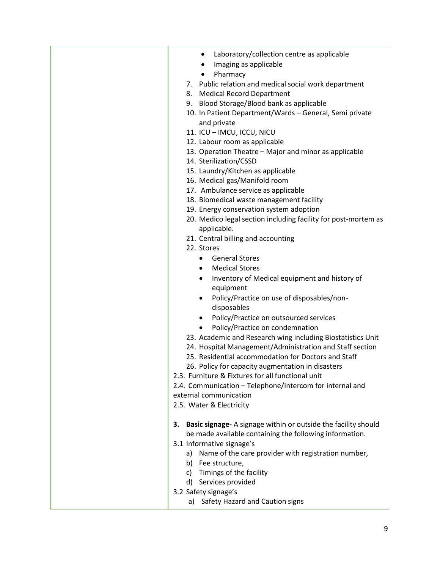| Laboratory/collection centre as applicable<br>$\bullet$<br>Imaging as applicable<br>Pharmacy                            |
|-------------------------------------------------------------------------------------------------------------------------|
| 7. Public relation and medical social work department                                                                   |
| <b>Medical Record Department</b><br>8.                                                                                  |
| Blood Storage/Blood bank as applicable<br>9.                                                                            |
| 10. In Patient Department/Wards - General, Semi private                                                                 |
| and private                                                                                                             |
| 11. ICU - IMCU, ICCU, NICU                                                                                              |
| 12. Labour room as applicable                                                                                           |
| 13. Operation Theatre - Major and minor as applicable                                                                   |
| 14. Sterilization/CSSD                                                                                                  |
| 15. Laundry/Kitchen as applicable                                                                                       |
| 16. Medical gas/Manifold room                                                                                           |
| 17. Ambulance service as applicable                                                                                     |
| 18. Biomedical waste management facility                                                                                |
| 19. Energy conservation system adoption                                                                                 |
| 20. Medico legal section including facility for post-mortem as                                                          |
| applicable.                                                                                                             |
| 21. Central billing and accounting<br>22. Stores                                                                        |
|                                                                                                                         |
| <b>General Stores</b><br>$\bullet$                                                                                      |
| <b>Medical Stores</b><br>٠                                                                                              |
| Inventory of Medical equipment and history of<br>$\bullet$                                                              |
| equipment                                                                                                               |
| Policy/Practice on use of disposables/non-<br>٠<br>disposables                                                          |
|                                                                                                                         |
| Policy/Practice on outsourced services<br>Policy/Practice on condemnation                                               |
|                                                                                                                         |
| 23. Academic and Research wing including Biostatistics Unit<br>24. Hospital Management/Administration and Staff section |
| 25. Residential accommodation for Doctors and Staff                                                                     |
| 26. Policy for capacity augmentation in disasters                                                                       |
| 2.3. Furniture & Fixtures for all functional unit                                                                       |
| 2.4. Communication - Telephone/Intercom for internal and                                                                |
| external communication                                                                                                  |
| 2.5. Water & Electricity                                                                                                |
|                                                                                                                         |
| Basic signage- A signage within or outside the facility should<br>З.                                                    |
| be made available containing the following information.                                                                 |
| 3.1 Informative signage's                                                                                               |
| Name of the care provider with registration number,<br>a)                                                               |
| b) Fee structure,                                                                                                       |
| c) Timings of the facility                                                                                              |
| d) Services provided                                                                                                    |
| 3.2 Safety signage's                                                                                                    |
| Safety Hazard and Caution signs<br>a)                                                                                   |
|                                                                                                                         |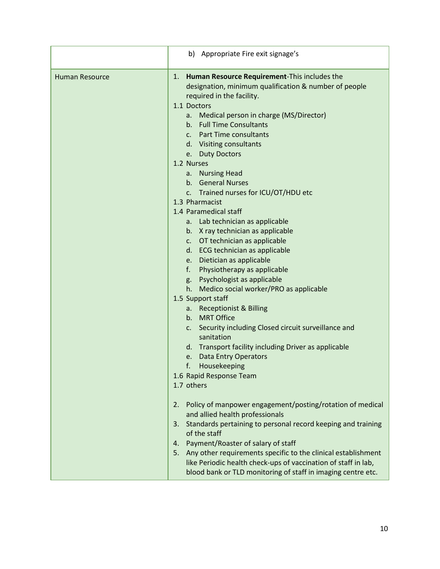|                       | b) Appropriate Fire exit signage's                                                                                                                                                                                                                                                                                                                                                                                                                                                                                                                                                                                                                                                                                                                                                                                |
|-----------------------|-------------------------------------------------------------------------------------------------------------------------------------------------------------------------------------------------------------------------------------------------------------------------------------------------------------------------------------------------------------------------------------------------------------------------------------------------------------------------------------------------------------------------------------------------------------------------------------------------------------------------------------------------------------------------------------------------------------------------------------------------------------------------------------------------------------------|
| <b>Human Resource</b> | Human Resource Requirement-This includes the<br>1.<br>designation, minimum qualification & number of people<br>required in the facility.<br>1.1 Doctors<br>a. Medical person in charge (MS/Director)<br>b. Full Time Consultants<br>c. Part Time consultants<br>d. Visiting consultants<br>e. Duty Doctors<br>1.2 Nurses<br>a. Nursing Head<br>b. General Nurses<br>c. Trained nurses for ICU/OT/HDU etc<br>1.3 Pharmacist<br>1.4 Paramedical staff<br>a. Lab technician as applicable<br>b. X ray technician as applicable<br>c. OT technician as applicable<br>d. ECG technician as applicable<br>e. Dietician as applicable<br>f. Physiotherapy as applicable<br>g. Psychologist as applicable<br>h. Medico social worker/PRO as applicable<br>1.5 Support staff<br>a. Receptionist & Billing<br>b. MRT Office |
|                       | Security including Closed circuit surveillance and<br>C.<br>sanitation<br>d. Transport facility including Driver as applicable<br>e. Data Entry Operators<br>f.<br>Housekeeping                                                                                                                                                                                                                                                                                                                                                                                                                                                                                                                                                                                                                                   |
|                       | 1.6 Rapid Response Team<br>1.7 others                                                                                                                                                                                                                                                                                                                                                                                                                                                                                                                                                                                                                                                                                                                                                                             |
|                       | Policy of manpower engagement/posting/rotation of medical<br>2.<br>and allied health professionals<br>Standards pertaining to personal record keeping and training<br>3.<br>of the staff                                                                                                                                                                                                                                                                                                                                                                                                                                                                                                                                                                                                                          |
|                       | Payment/Roaster of salary of staff<br>4.<br>Any other requirements specific to the clinical establishment<br>5.<br>like Periodic health check-ups of vaccination of staff in lab,<br>blood bank or TLD monitoring of staff in imaging centre etc.                                                                                                                                                                                                                                                                                                                                                                                                                                                                                                                                                                 |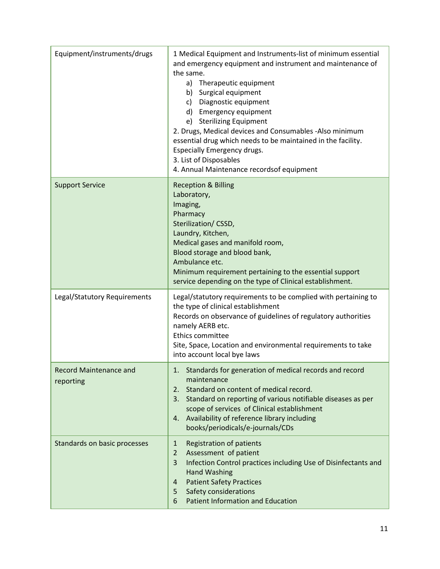| Equipment/instruments/drugs                | 1 Medical Equipment and Instruments-list of minimum essential<br>and emergency equipment and instrument and maintenance of<br>the same.<br>Therapeutic equipment<br>a)<br>b) Surgical equipment<br>c) Diagnostic equipment<br>d) Emergency equipment<br>e) Sterilizing Equipment<br>2. Drugs, Medical devices and Consumables -Also minimum<br>essential drug which needs to be maintained in the facility.<br>Especially Emergency drugs.<br>3. List of Disposables<br>4. Annual Maintenance recordsof equipment |
|--------------------------------------------|-------------------------------------------------------------------------------------------------------------------------------------------------------------------------------------------------------------------------------------------------------------------------------------------------------------------------------------------------------------------------------------------------------------------------------------------------------------------------------------------------------------------|
| <b>Support Service</b>                     | <b>Reception &amp; Billing</b><br>Laboratory,<br>Imaging,<br>Pharmacy<br>Sterilization/CSSD,<br>Laundry, Kitchen,<br>Medical gases and manifold room,<br>Blood storage and blood bank,<br>Ambulance etc.<br>Minimum requirement pertaining to the essential support<br>service depending on the type of Clinical establishment.                                                                                                                                                                                   |
| Legal/Statutory Requirements               | Legal/statutory requirements to be complied with pertaining to<br>the type of clinical establishment<br>Records on observance of guidelines of regulatory authorities<br>namely AERB etc.<br>Ethics committee<br>Site, Space, Location and environmental requirements to take<br>into account local bye laws                                                                                                                                                                                                      |
| <b>Record Maintenance and</b><br>reporting | Standards for generation of medical records and record<br>maintenance<br>Standard on content of medical record.<br>2.<br>Standard on reporting of various notifiable diseases as per<br>3.<br>scope of services of Clinical establishment<br>Availability of reference library including<br>4.<br>books/periodicals/e-journals/CDs                                                                                                                                                                                |
| Standards on basic processes               | Registration of patients<br>$\mathbf{1}$<br>Assessment of patient<br>$\overline{2}$<br>3<br>Infection Control practices including Use of Disinfectants and<br><b>Hand Washing</b><br><b>Patient Safety Practices</b><br>4<br>Safety considerations<br>5<br><b>Patient Information and Education</b><br>6                                                                                                                                                                                                          |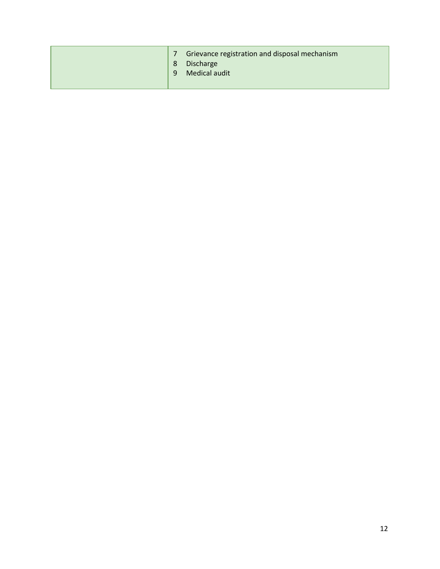| Grievance registration and disposal mechanism<br>Discharge<br>8<br>Medical audit<br>$\mathsf{q}$ |
|--------------------------------------------------------------------------------------------------|
|--------------------------------------------------------------------------------------------------|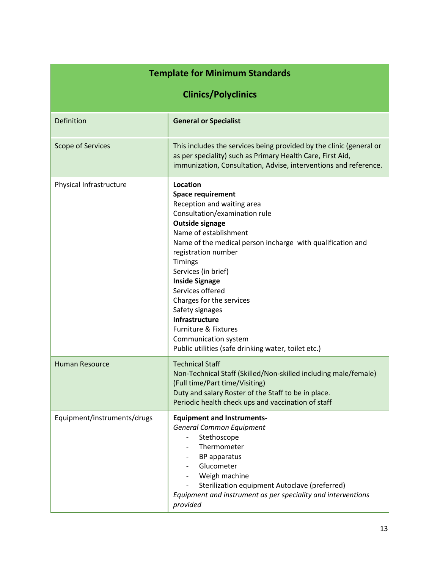| <b>Template for Minimum Standards</b> |                                                                                                                                                                                                                                                                                                                                                                                                                                                                                                               |  |
|---------------------------------------|---------------------------------------------------------------------------------------------------------------------------------------------------------------------------------------------------------------------------------------------------------------------------------------------------------------------------------------------------------------------------------------------------------------------------------------------------------------------------------------------------------------|--|
| <b>Clinics/Polyclinics</b>            |                                                                                                                                                                                                                                                                                                                                                                                                                                                                                                               |  |
| Definition                            | <b>General or Specialist</b>                                                                                                                                                                                                                                                                                                                                                                                                                                                                                  |  |
| <b>Scope of Services</b>              | This includes the services being provided by the clinic (general or<br>as per speciality) such as Primary Health Care, First Aid,<br>immunization, Consultation, Advise, interventions and reference.                                                                                                                                                                                                                                                                                                         |  |
| Physical Infrastructure               | Location<br><b>Space requirement</b><br>Reception and waiting area<br>Consultation/examination rule<br>Outside signage<br>Name of establishment<br>Name of the medical person incharge with qualification and<br>registration number<br><b>Timings</b><br>Services (in brief)<br><b>Inside Signage</b><br>Services offered<br>Charges for the services<br>Safety signages<br>Infrastructure<br><b>Furniture &amp; Fixtures</b><br>Communication system<br>Public utilities (safe drinking water, toilet etc.) |  |
| <b>Human Resource</b>                 | <b>Technical Staff</b><br>Non-Technical Staff (Skilled/Non-skilled including male/female)<br>(Full time/Part time/Visiting)<br>Duty and salary Roster of the Staff to be in place.<br>Periodic health check ups and vaccination of staff                                                                                                                                                                                                                                                                      |  |
| Equipment/instruments/drugs           | <b>Equipment and Instruments-</b><br><b>General Common Equipment</b><br>Stethoscope<br>Thermometer<br><b>BP</b> apparatus<br>Glucometer<br>Weigh machine<br>Sterilization equipment Autoclave (preferred)<br>Equipment and instrument as per speciality and interventions<br>provided                                                                                                                                                                                                                         |  |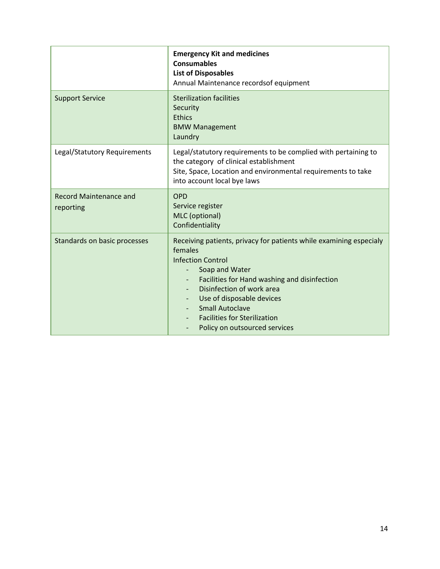|                                            | <b>Emergency Kit and medicines</b><br><b>Consumables</b><br><b>List of Disposables</b><br>Annual Maintenance recordsof equipment                                                                                                                                                                                                        |
|--------------------------------------------|-----------------------------------------------------------------------------------------------------------------------------------------------------------------------------------------------------------------------------------------------------------------------------------------------------------------------------------------|
| <b>Support Service</b>                     | <b>Sterilization facilities</b><br>Security<br><b>Ethics</b><br><b>BMW Management</b><br>Laundry                                                                                                                                                                                                                                        |
| Legal/Statutory Requirements               | Legal/statutory requirements to be complied with pertaining to<br>the category of clinical establishment<br>Site, Space, Location and environmental requirements to take<br>into account local bye laws                                                                                                                                 |
| <b>Record Maintenance and</b><br>reporting | <b>OPD</b><br>Service register<br>MLC (optional)<br>Confidentiality                                                                                                                                                                                                                                                                     |
| Standards on basic processes               | Receiving patients, privacy for patients while examining especialy<br>females<br><b>Infection Control</b><br>Soap and Water<br>Facilities for Hand washing and disinfection<br>Disinfection of work area<br>Use of disposable devices<br><b>Small Autoclave</b><br><b>Facilities for Sterilization</b><br>Policy on outsourced services |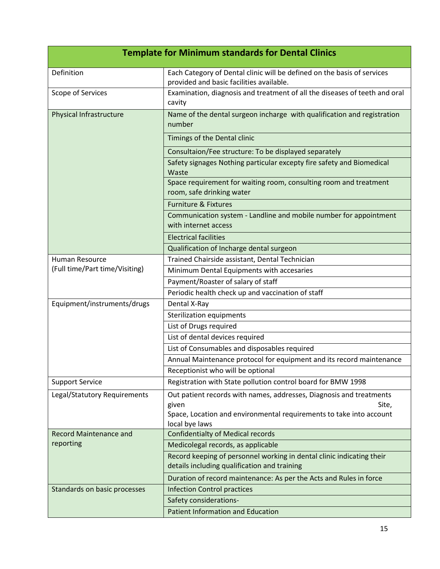| <b>Template for Minimum standards for Dental Clinics</b> |                                                                                                                                                                                |  |
|----------------------------------------------------------|--------------------------------------------------------------------------------------------------------------------------------------------------------------------------------|--|
| Definition                                               | Each Category of Dental clinic will be defined on the basis of services<br>provided and basic facilities available.                                                            |  |
| Scope of Services                                        | Examination, diagnosis and treatment of all the diseases of teeth and oral<br>cavity                                                                                           |  |
| Physical Infrastructure                                  | Name of the dental surgeon incharge with qualification and registration<br>number                                                                                              |  |
|                                                          | Timings of the Dental clinic                                                                                                                                                   |  |
|                                                          | Consultaion/Fee structure: To be displayed separately                                                                                                                          |  |
|                                                          | Safety signages Nothing particular excepty fire safety and Biomedical<br>Waste                                                                                                 |  |
|                                                          | Space requirement for waiting room, consulting room and treatment<br>room, safe drinking water                                                                                 |  |
|                                                          | <b>Furniture &amp; Fixtures</b>                                                                                                                                                |  |
|                                                          | Communication system - Landline and mobile number for appointment<br>with internet access                                                                                      |  |
|                                                          | <b>Electrical facilities</b>                                                                                                                                                   |  |
|                                                          | Qualification of Incharge dental surgeon                                                                                                                                       |  |
| Human Resource                                           | Trained Chairside assistant, Dental Technician                                                                                                                                 |  |
| (Full time/Part time/Visiting)                           | Minimum Dental Equipments with accesaries                                                                                                                                      |  |
|                                                          | Payment/Roaster of salary of staff                                                                                                                                             |  |
|                                                          | Periodic health check up and vaccination of staff                                                                                                                              |  |
| Equipment/instruments/drugs                              | Dental X-Ray                                                                                                                                                                   |  |
|                                                          | Sterilization equipments                                                                                                                                                       |  |
|                                                          | List of Drugs required                                                                                                                                                         |  |
|                                                          | List of dental devices required                                                                                                                                                |  |
|                                                          | List of Consumables and disposables required                                                                                                                                   |  |
|                                                          | Annual Maintenance protocol for equipment and its record maintenance                                                                                                           |  |
|                                                          | Receptionist who will be optional                                                                                                                                              |  |
| <b>Support Service</b>                                   | Registration with State pollution control board for BMW 1998                                                                                                                   |  |
| Legal/Statutory Requirements                             | Out patient records with names, addresses, Diagnosis and treatments<br>given<br>Site,<br>Space, Location and environmental requirements to take into account<br>local bye laws |  |
| <b>Record Maintenance and</b>                            | <b>Confidentialty of Medical records</b>                                                                                                                                       |  |
| reporting                                                | Medicolegal records, as applicable                                                                                                                                             |  |
|                                                          | Record keeping of personnel working in dental clinic indicating their<br>details including qualification and training                                                          |  |
|                                                          | Duration of record maintenance: As per the Acts and Rules in force                                                                                                             |  |
| Standards on basic processes                             | <b>Infection Control practices</b>                                                                                                                                             |  |
|                                                          | Safety considerations-                                                                                                                                                         |  |
|                                                          | <b>Patient Information and Education</b>                                                                                                                                       |  |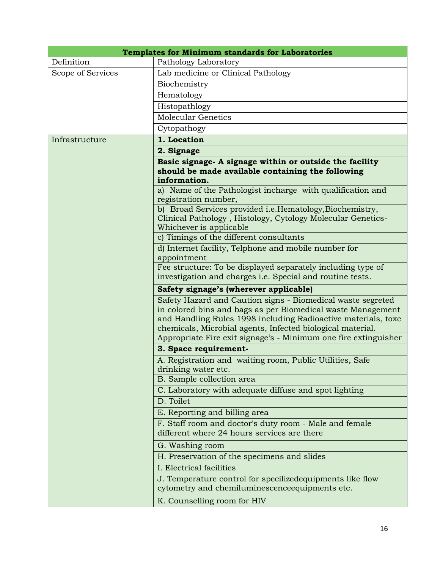| <b>Templates for Minimum standards for Laboratories</b> |                                                                                                                                                                                                                                                           |
|---------------------------------------------------------|-----------------------------------------------------------------------------------------------------------------------------------------------------------------------------------------------------------------------------------------------------------|
| Definition                                              | Pathology Laboratory                                                                                                                                                                                                                                      |
| Scope of Services                                       | Lab medicine or Clinical Pathology                                                                                                                                                                                                                        |
|                                                         | Biochemistry                                                                                                                                                                                                                                              |
|                                                         | Hematology                                                                                                                                                                                                                                                |
|                                                         | Histopathlogy                                                                                                                                                                                                                                             |
|                                                         | Molecular Genetics                                                                                                                                                                                                                                        |
|                                                         | Cytopathogy                                                                                                                                                                                                                                               |
| Infrastructure                                          | 1. Location                                                                                                                                                                                                                                               |
|                                                         | 2. Signage                                                                                                                                                                                                                                                |
|                                                         | Basic signage- A signage within or outside the facility<br>should be made available containing the following<br>information.                                                                                                                              |
|                                                         | a) Name of the Pathologist incharge with qualification and<br>registration number,                                                                                                                                                                        |
|                                                         | b) Broad Services provided i.e.Hematology, Biochemistry,<br>Clinical Pathology, Histology, Cytology Molecular Genetics-<br>Whichever is applicable                                                                                                        |
|                                                         | c) Timings of the different consultants                                                                                                                                                                                                                   |
|                                                         | d) Internet facility, Telphone and mobile number for<br>appointment                                                                                                                                                                                       |
|                                                         | Fee structure: To be displayed separately including type of<br>investigation and charges <i>i.e.</i> Special and routine tests.                                                                                                                           |
|                                                         | Safety signage's (wherever applicable)                                                                                                                                                                                                                    |
|                                                         | Safety Hazard and Caution signs - Biomedical waste segreted<br>in colored bins and bags as per Biomedical waste Management<br>and Handling Rules 1998 including Radioactive materials, toxc<br>chemicals, Microbial agents, Infected biological material. |
|                                                         | Appropriate Fire exit signage's - Minimum one fire extinguisher                                                                                                                                                                                           |
|                                                         | 3. Space requirement-                                                                                                                                                                                                                                     |
|                                                         | A. Registration and waiting room, Public Utilities, Safe<br>drinking water etc.                                                                                                                                                                           |
|                                                         | B. Sample collection area                                                                                                                                                                                                                                 |
|                                                         | C. Laboratory with adequate diffuse and spot lighting                                                                                                                                                                                                     |
|                                                         | D. Toilet                                                                                                                                                                                                                                                 |
|                                                         | E. Reporting and billing area                                                                                                                                                                                                                             |
|                                                         | F. Staff room and doctor's duty room - Male and female<br>different where 24 hours services are there                                                                                                                                                     |
|                                                         | G. Washing room                                                                                                                                                                                                                                           |
|                                                         | H. Preservation of the specimens and slides                                                                                                                                                                                                               |
|                                                         | I. Electrical facilities                                                                                                                                                                                                                                  |
|                                                         | J. Temperature control for specilizedequipments like flow<br>cytometry and chemiluminescence equipments etc.                                                                                                                                              |
|                                                         | K. Counselling room for HIV                                                                                                                                                                                                                               |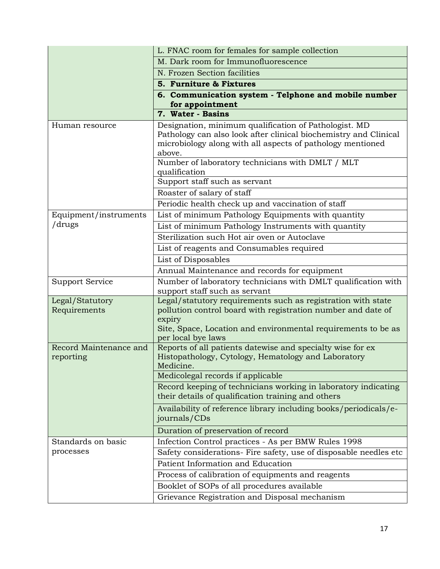|                                     | L. FNAC room for females for sample collection                                                                                                                                                                                |
|-------------------------------------|-------------------------------------------------------------------------------------------------------------------------------------------------------------------------------------------------------------------------------|
|                                     | M. Dark room for Immunofluorescence                                                                                                                                                                                           |
|                                     | N. Frozen Section facilities                                                                                                                                                                                                  |
|                                     | 5. Furniture & Fixtures                                                                                                                                                                                                       |
|                                     | 6. Communication system - Telphone and mobile number<br>for appointment                                                                                                                                                       |
|                                     | 7. Water - Basins                                                                                                                                                                                                             |
| Human resource                      | Designation, minimum qualification of Pathologist. MD<br>Pathology can also look after clinical biochemistry and Clinical<br>microbiology along with all aspects of pathology mentioned<br>above.                             |
|                                     | Number of laboratory technicians with DMLT / MLT<br>qualification                                                                                                                                                             |
|                                     | Support staff such as servant                                                                                                                                                                                                 |
|                                     | Roaster of salary of staff                                                                                                                                                                                                    |
|                                     | Periodic health check up and vaccination of staff                                                                                                                                                                             |
| Equipment/instruments               | List of minimum Pathology Equipments with quantity                                                                                                                                                                            |
| /drugs                              | List of minimum Pathology Instruments with quantity                                                                                                                                                                           |
|                                     | Sterilization such Hot air oven or Autoclave                                                                                                                                                                                  |
|                                     | List of reagents and Consumables required                                                                                                                                                                                     |
|                                     | List of Disposables                                                                                                                                                                                                           |
|                                     | Annual Maintenance and records for equipment                                                                                                                                                                                  |
| Support Service                     | Number of laboratory technicians with DMLT qualification with<br>support staff such as servant                                                                                                                                |
| Legal/Statutory<br>Requirements     | Legal/statutory requirements such as registration with state<br>pollution control board with registration number and date of<br>expiry<br>Site, Space, Location and environmental requirements to be as<br>per local bye laws |
| Record Maintenance and<br>reporting | Reports of all patients datewise and specialty wise for ex<br>Histopathology, Cytology, Hematology and Laboratory<br>Medicine.                                                                                                |
|                                     | Medicolegal records if applicable                                                                                                                                                                                             |
|                                     | Record keeping of technicians working in laboratory indicating<br>their details of qualification training and others                                                                                                          |
|                                     | Availability of reference library including books/periodicals/e-<br>journals/CDs                                                                                                                                              |
|                                     | Duration of preservation of record                                                                                                                                                                                            |
| Standards on basic                  | Infection Control practices - As per BMW Rules 1998                                                                                                                                                                           |
| processes                           | Safety considerations- Fire safety, use of disposable needles etc                                                                                                                                                             |
|                                     | Patient Information and Education                                                                                                                                                                                             |
|                                     | Process of calibration of equipments and reagents                                                                                                                                                                             |
|                                     | Booklet of SOPs of all procedures available                                                                                                                                                                                   |
|                                     | Grievance Registration and Disposal mechanism                                                                                                                                                                                 |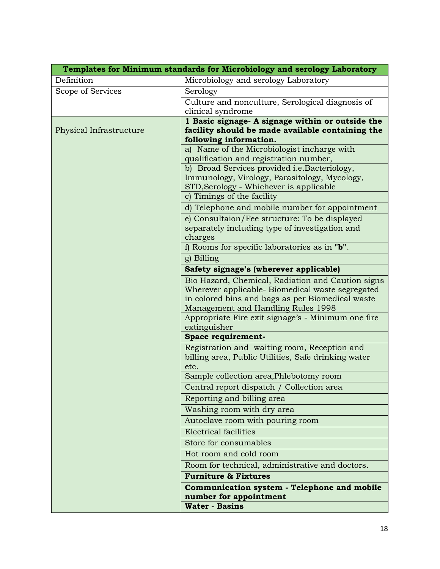| Templates for Minimum standards for Microbiology and serology Laboratory |                                                                            |  |
|--------------------------------------------------------------------------|----------------------------------------------------------------------------|--|
| Definition                                                               | Microbiology and serology Laboratory                                       |  |
| Scope of Services                                                        | Serology                                                                   |  |
|                                                                          | Culture and nonculture, Serological diagnosis of                           |  |
|                                                                          | clinical syndrome                                                          |  |
|                                                                          | 1 Basic signage- A signage within or outside the                           |  |
| Physical Infrastructure                                                  | facility should be made available containing the<br>following information. |  |
|                                                                          | a) Name of the Microbiologist incharge with                                |  |
|                                                                          | qualification and registration number,                                     |  |
|                                                                          | b) Broad Services provided i.e.Bacteriology,                               |  |
|                                                                          | Immunology, Virology, Parasitology, Mycology,                              |  |
|                                                                          | STD, Serology - Whichever is applicable                                    |  |
|                                                                          | c) Timings of the facility                                                 |  |
|                                                                          | d) Telephone and mobile number for appointment                             |  |
|                                                                          | e) Consultaion/Fee structure: To be displayed                              |  |
|                                                                          | separately including type of investigation and                             |  |
|                                                                          | charges<br>f) Rooms for specific laboratories as in $"b"$ .                |  |
|                                                                          | g) Billing                                                                 |  |
|                                                                          | Safety signage's (wherever applicable)                                     |  |
|                                                                          | Bio Hazard, Chemical, Radiation and Caution signs                          |  |
|                                                                          | Wherever applicable- Biomedical waste segregated                           |  |
|                                                                          | in colored bins and bags as per Biomedical waste                           |  |
|                                                                          | Management and Handling Rules 1998                                         |  |
|                                                                          | Appropriate Fire exit signage's - Minimum one fire                         |  |
|                                                                          | extinguisher                                                               |  |
|                                                                          | Space requirement-                                                         |  |
|                                                                          | Registration and waiting room, Reception and                               |  |
|                                                                          | billing area, Public Utilities, Safe drinking water<br>etc.                |  |
|                                                                          | Sample collection area, Phlebotomy room                                    |  |
|                                                                          | Central report dispatch / Collection area                                  |  |
|                                                                          | Reporting and billing area                                                 |  |
|                                                                          | Washing room with dry area                                                 |  |
|                                                                          | Autoclave room with pouring room                                           |  |
|                                                                          | Electrical facilities                                                      |  |
|                                                                          | Store for consumables                                                      |  |
|                                                                          | Hot room and cold room                                                     |  |
|                                                                          | Room for technical, administrative and doctors.                            |  |
|                                                                          | <b>Furniture &amp; Fixtures</b>                                            |  |
|                                                                          | Communication system - Telephone and mobile                                |  |
|                                                                          | number for appointment                                                     |  |
|                                                                          | <b>Water - Basins</b>                                                      |  |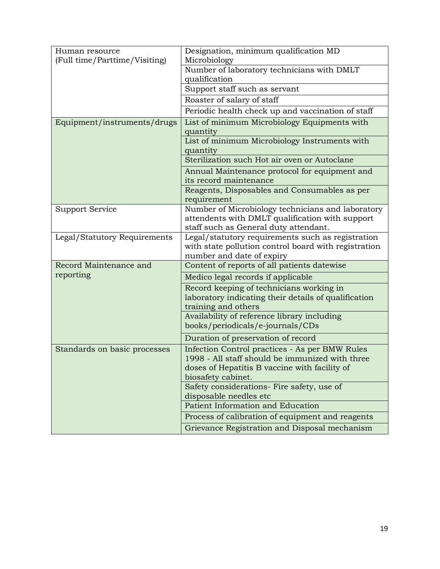| Human resource                | Designation, minimum qualification MD                                             |
|-------------------------------|-----------------------------------------------------------------------------------|
| (Full time/Parttime/Visiting) | Microbiology                                                                      |
|                               | Number of laboratory technicians with DMLT                                        |
|                               | qualification                                                                     |
|                               | Support staff such as servant                                                     |
|                               | Roaster of salary of staff                                                        |
|                               | Periodic health check up and vaccination of staff                                 |
| Equipment/instruments/drugs   | List of minimum Microbiology Equipments with                                      |
|                               | quantity                                                                          |
|                               | List of minimum Microbiology Instruments with                                     |
|                               | quantity                                                                          |
|                               | Sterilization such Hot air oven or Autoclane                                      |
|                               | Annual Maintenance protocol for equipment and                                     |
|                               | its record maintenance                                                            |
|                               | Reagents, Disposables and Consumables as per                                      |
|                               | requirement                                                                       |
| <b>Support Service</b>        | Number of Microbiology technicians and laboratory                                 |
|                               | attendents with DMLT qualification with support                                   |
|                               | staff such as General duty attendant.                                             |
| Legal/Statutory Requirements  | Legal/statutory requirements such as registration                                 |
|                               | with state pollution control board with registration<br>number and date of expiry |
| Record Maintenance and        | Content of reports of all patients datewise                                       |
| reporting                     |                                                                                   |
|                               | Medico legal records if applicable                                                |
|                               | Record keeping of technicians working in                                          |
|                               | laboratory indicating their details of qualification                              |
|                               | training and others<br>Availability of reference library including                |
|                               | books/periodicals/e-journals/CDs                                                  |
|                               |                                                                                   |
|                               | Duration of preservation of record                                                |
| Standards on basic processes  | Infection Control practices - As per BMW Rules                                    |
|                               | 1998 - All staff should be immunized with three                                   |
|                               | doses of Hepatitis B vaccine with facility of                                     |
|                               | biosafety cabinet.                                                                |
|                               | Safety considerations- Fire safety, use of                                        |
|                               | disposable needles etc<br>Patient Information and Education                       |
|                               |                                                                                   |
|                               | Process of calibration of equipment and reagents                                  |
|                               | Grievance Registration and Disposal mechanism                                     |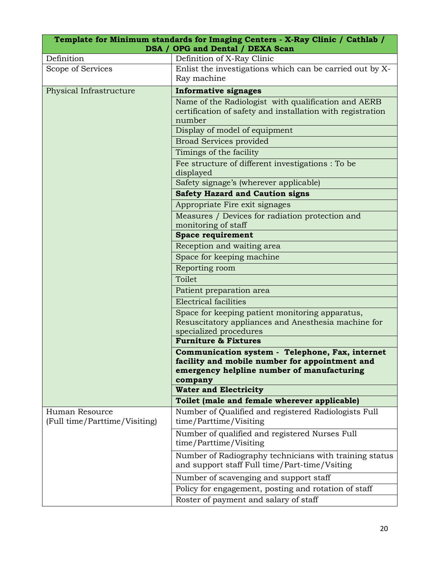|                                                 | Template for Minimum standards for Imaging Centers - X-Ray Clinic / Cathlab /<br>DSA / OPG and Dental / DEXA Scan                                          |
|-------------------------------------------------|------------------------------------------------------------------------------------------------------------------------------------------------------------|
| Definition                                      | Definition of X-Ray Clinic                                                                                                                                 |
| Scope of Services                               | Enlist the investigations which can be carried out by X-<br>Ray machine                                                                                    |
| Physical Infrastructure                         | <b>Informative signages</b>                                                                                                                                |
|                                                 | Name of the Radiologist with qualification and AERB<br>certification of safety and installation with registration<br>number                                |
|                                                 | Display of model of equipment                                                                                                                              |
|                                                 | <b>Broad Services provided</b>                                                                                                                             |
|                                                 | Timings of the facility                                                                                                                                    |
|                                                 | Fee structure of different investigations : To be<br>displayed                                                                                             |
|                                                 | Safety signage's (wherever applicable)                                                                                                                     |
|                                                 | <b>Safety Hazard and Caution signs</b>                                                                                                                     |
|                                                 | Appropriate Fire exit signages                                                                                                                             |
|                                                 | Measures / Devices for radiation protection and                                                                                                            |
|                                                 | monitoring of staff<br><b>Space requirement</b>                                                                                                            |
|                                                 | Reception and waiting area                                                                                                                                 |
|                                                 | Space for keeping machine                                                                                                                                  |
|                                                 | Reporting room                                                                                                                                             |
|                                                 | Toilet                                                                                                                                                     |
|                                                 | Patient preparation area                                                                                                                                   |
|                                                 | <b>Electrical facilities</b>                                                                                                                               |
|                                                 | Space for keeping patient monitoring apparatus,<br>Resuscitatory appliances and Anesthesia machine for<br>specialized procedures                           |
|                                                 | <b>Furniture &amp; Fixtures</b>                                                                                                                            |
|                                                 | Communication system - Telephone, Fax, internet<br>facility and mobile number for appointment and<br>emergency helpline number of manufacturing<br>company |
|                                                 | <b>Water and Electricity</b>                                                                                                                               |
|                                                 | Toilet (male and female wherever applicable)                                                                                                               |
| Human Resource<br>(Full time/Parttime/Visiting) | Number of Qualified and registered Radiologists Full<br>time/Parttime/Visiting                                                                             |
|                                                 | Number of qualified and registered Nurses Full<br>time/Parttime/Visiting                                                                                   |
|                                                 | Number of Radiography technicians with training status<br>and support staff Full time/Part-time/Vsiting                                                    |
|                                                 | Number of scavenging and support staff                                                                                                                     |
|                                                 | Policy for engagement, posting and rotation of staff<br>Roster of payment and salary of staff                                                              |
|                                                 |                                                                                                                                                            |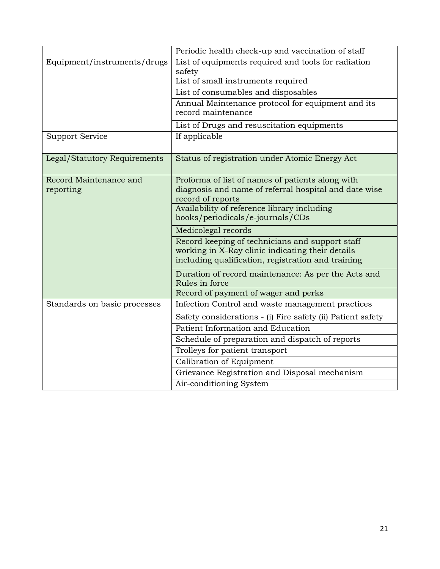|                                     | Periodic health check-up and vaccination of staff                                                                                                         |
|-------------------------------------|-----------------------------------------------------------------------------------------------------------------------------------------------------------|
| Equipment/instruments/drugs         | List of equipments required and tools for radiation<br>safety                                                                                             |
|                                     | List of small instruments required                                                                                                                        |
|                                     | List of consumables and disposables                                                                                                                       |
|                                     | Annual Maintenance protocol for equipment and its<br>record maintenance                                                                                   |
|                                     | List of Drugs and resuscitation equipments                                                                                                                |
| <b>Support Service</b>              | If applicable                                                                                                                                             |
| Legal/Statutory Requirements        | Status of registration under Atomic Energy Act                                                                                                            |
| Record Maintenance and<br>reporting | Proforma of list of names of patients along with<br>diagnosis and name of referral hospital and date wise<br>record of reports                            |
|                                     | Availability of reference library including<br>books/periodicals/e-journals/CDs                                                                           |
|                                     | Medicolegal records                                                                                                                                       |
|                                     | Record keeping of technicians and support staff<br>working in X-Ray clinic indicating their details<br>including qualification, registration and training |
|                                     | Duration of record maintenance: As per the Acts and<br>Rules in force                                                                                     |
|                                     | Record of payment of wager and perks                                                                                                                      |
| Standards on basic processes        | Infection Control and waste management practices                                                                                                          |
|                                     | Safety considerations - (i) Fire safety (ii) Patient safety                                                                                               |
|                                     | Patient Information and Education                                                                                                                         |
|                                     | Schedule of preparation and dispatch of reports                                                                                                           |
|                                     | Trolleys for patient transport                                                                                                                            |
|                                     | Calibration of Equipment                                                                                                                                  |
|                                     | Grievance Registration and Disposal mechanism                                                                                                             |
|                                     | Air-conditioning System                                                                                                                                   |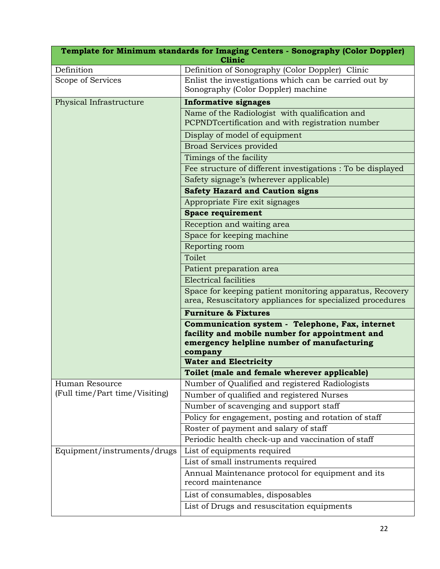| Template for Minimum standards for Imaging Centers - Sonography (Color Doppler)<br><b>Clinic</b> |                                                                                                                                                            |
|--------------------------------------------------------------------------------------------------|------------------------------------------------------------------------------------------------------------------------------------------------------------|
| Definition                                                                                       | Definition of Sonography (Color Doppler) Clinic                                                                                                            |
| Scope of Services                                                                                | Enlist the investigations which can be carried out by<br>Sonography (Color Doppler) machine                                                                |
| Physical Infrastructure                                                                          | <b>Informative signages</b>                                                                                                                                |
|                                                                                                  | Name of the Radiologist with qualification and                                                                                                             |
|                                                                                                  | PCPNDTcertification and with registration number                                                                                                           |
|                                                                                                  | Display of model of equipment                                                                                                                              |
|                                                                                                  | <b>Broad Services provided</b>                                                                                                                             |
|                                                                                                  | Timings of the facility                                                                                                                                    |
|                                                                                                  | Fee structure of different investigations : To be displayed                                                                                                |
|                                                                                                  | Safety signage's (wherever applicable)                                                                                                                     |
|                                                                                                  | <b>Safety Hazard and Caution signs</b>                                                                                                                     |
|                                                                                                  | Appropriate Fire exit signages                                                                                                                             |
|                                                                                                  | <b>Space requirement</b>                                                                                                                                   |
|                                                                                                  | Reception and waiting area                                                                                                                                 |
|                                                                                                  | Space for keeping machine                                                                                                                                  |
|                                                                                                  | Reporting room                                                                                                                                             |
|                                                                                                  | Toilet                                                                                                                                                     |
|                                                                                                  | Patient preparation area                                                                                                                                   |
|                                                                                                  | <b>Electrical facilities</b>                                                                                                                               |
|                                                                                                  | Space for keeping patient monitoring apparatus, Recovery<br>area, Resuscitatory appliances for specialized procedures                                      |
|                                                                                                  | <b>Furniture &amp; Fixtures</b>                                                                                                                            |
|                                                                                                  | Communication system - Telephone, Fax, internet<br>facility and mobile number for appointment and<br>emergency helpline number of manufacturing<br>company |
|                                                                                                  | <b>Water and Electricity</b>                                                                                                                               |
|                                                                                                  | Toilet (male and female wherever applicable)                                                                                                               |
| Human Resource                                                                                   | Number of Qualified and registered Radiologists                                                                                                            |
| (Full time/Part time/Visiting)                                                                   | Number of qualified and registered Nurses                                                                                                                  |
|                                                                                                  | Number of scavenging and support staff                                                                                                                     |
|                                                                                                  | Policy for engagement, posting and rotation of staff                                                                                                       |
|                                                                                                  | Roster of payment and salary of staff                                                                                                                      |
|                                                                                                  | Periodic health check-up and vaccination of staff                                                                                                          |
| Equipment/instruments/drugs                                                                      | List of equipments required                                                                                                                                |
|                                                                                                  | List of small instruments required                                                                                                                         |
|                                                                                                  | Annual Maintenance protocol for equipment and its<br>record maintenance                                                                                    |
|                                                                                                  | List of consumables, disposables                                                                                                                           |
|                                                                                                  | List of Drugs and resuscitation equipments                                                                                                                 |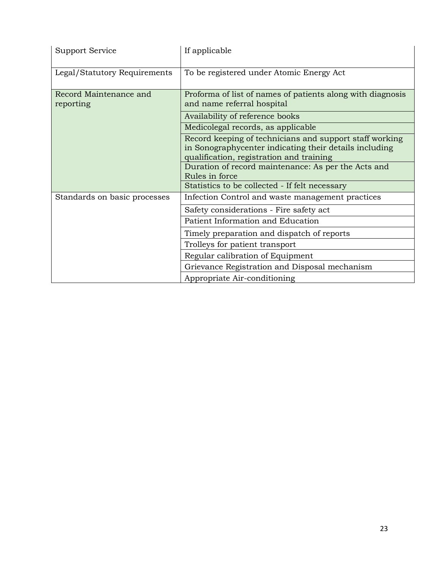| Support Service                     | If applicable                                                                                                                                                 |
|-------------------------------------|---------------------------------------------------------------------------------------------------------------------------------------------------------------|
| Legal/Statutory Requirements        | To be registered under Atomic Energy Act                                                                                                                      |
| Record Maintenance and<br>reporting | Proforma of list of names of patients along with diagnosis<br>and name referral hospital                                                                      |
|                                     | Availability of reference books                                                                                                                               |
|                                     | Medicolegal records, as applicable                                                                                                                            |
|                                     | Record keeping of technicians and support staff working<br>in Sonographycenter indicating their details including<br>qualification, registration and training |
|                                     | Duration of record maintenance: As per the Acts and<br>Rules in force                                                                                         |
|                                     | Statistics to be collected - If felt necessary                                                                                                                |
| Standards on basic processes        | Infection Control and waste management practices                                                                                                              |
|                                     | Safety considerations - Fire safety act                                                                                                                       |
|                                     | Patient Information and Education                                                                                                                             |
|                                     | Timely preparation and dispatch of reports                                                                                                                    |
|                                     | Trolleys for patient transport                                                                                                                                |
|                                     | Regular calibration of Equipment                                                                                                                              |
|                                     | Grievance Registration and Disposal mechanism                                                                                                                 |
|                                     | Appropriate Air-conditioning                                                                                                                                  |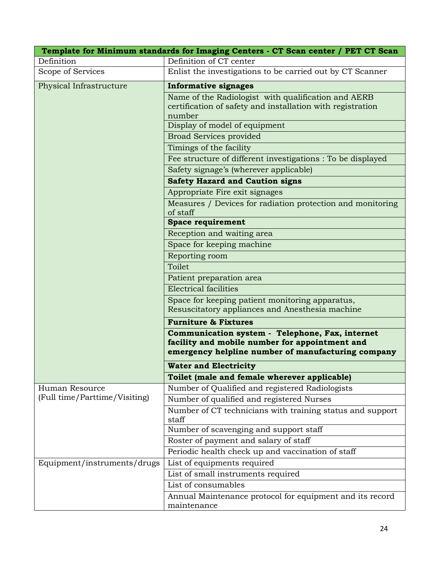| Template for Minimum standards for Imaging Centers - CT Scan center / PET CT Scan |                                                                                                                                                         |
|-----------------------------------------------------------------------------------|---------------------------------------------------------------------------------------------------------------------------------------------------------|
| Definition                                                                        | Definition of CT center                                                                                                                                 |
| Scope of Services                                                                 | Enlist the investigations to be carried out by CT Scanner                                                                                               |
| Physical Infrastructure                                                           | <b>Informative signages</b>                                                                                                                             |
|                                                                                   | Name of the Radiologist with qualification and AERB<br>certification of safety and installation with registration<br>number                             |
|                                                                                   | Display of model of equipment                                                                                                                           |
|                                                                                   | <b>Broad Services provided</b>                                                                                                                          |
|                                                                                   | Timings of the facility                                                                                                                                 |
|                                                                                   | Fee structure of different investigations : To be displayed                                                                                             |
|                                                                                   | Safety signage's (wherever applicable)                                                                                                                  |
|                                                                                   | <b>Safety Hazard and Caution signs</b>                                                                                                                  |
|                                                                                   | Appropriate Fire exit signages                                                                                                                          |
|                                                                                   | Measures / Devices for radiation protection and monitoring<br>of staff                                                                                  |
|                                                                                   | <b>Space requirement</b>                                                                                                                                |
|                                                                                   | Reception and waiting area                                                                                                                              |
|                                                                                   | Space for keeping machine                                                                                                                               |
|                                                                                   | Reporting room                                                                                                                                          |
|                                                                                   | Toilet                                                                                                                                                  |
|                                                                                   | Patient preparation area                                                                                                                                |
|                                                                                   | <b>Electrical facilities</b>                                                                                                                            |
|                                                                                   | Space for keeping patient monitoring apparatus,<br>Resuscitatory appliances and Anesthesia machine                                                      |
|                                                                                   | <b>Furniture &amp; Fixtures</b>                                                                                                                         |
|                                                                                   | Communication system - Telephone, Fax, internet<br>facility and mobile number for appointment and<br>emergency helpline number of manufacturing company |
|                                                                                   | <b>Water and Electricity</b>                                                                                                                            |
|                                                                                   | Toilet (male and female wherever applicable)                                                                                                            |
| Human Resource<br>(Full time/Parttime/Visiting)                                   | Number of Qualified and registered Radiologists                                                                                                         |
|                                                                                   | Number of qualified and registered Nurses                                                                                                               |
|                                                                                   | Number of CT technicians with training status and support<br>staff                                                                                      |
|                                                                                   | Number of scavenging and support staff                                                                                                                  |
|                                                                                   | Roster of payment and salary of staff                                                                                                                   |
|                                                                                   | Periodic health check up and vaccination of staff                                                                                                       |
| Equipment/instruments/drugs                                                       | List of equipments required                                                                                                                             |
|                                                                                   | List of small instruments required                                                                                                                      |
|                                                                                   | List of consumables                                                                                                                                     |
|                                                                                   | Annual Maintenance protocol for equipment and its record<br>maintenance                                                                                 |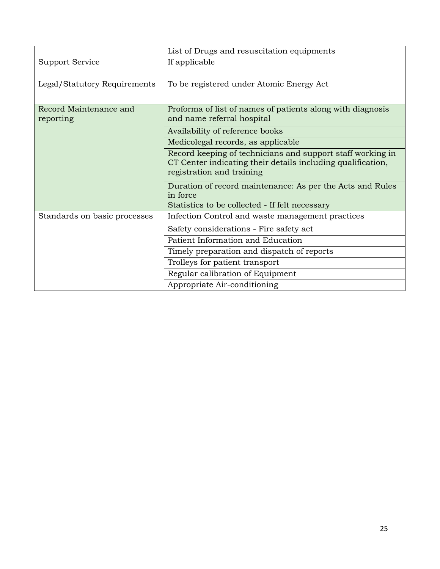|                                     | List of Drugs and resuscitation equipments                                                                                                             |
|-------------------------------------|--------------------------------------------------------------------------------------------------------------------------------------------------------|
| Support Service                     | If applicable                                                                                                                                          |
| Legal/Statutory Requirements        | To be registered under Atomic Energy Act                                                                                                               |
| Record Maintenance and<br>reporting | Proforma of list of names of patients along with diagnosis<br>and name referral hospital                                                               |
|                                     | Availability of reference books                                                                                                                        |
|                                     | Medicolegal records, as applicable                                                                                                                     |
|                                     | Record keeping of technicians and support staff working in<br>CT Center indicating their details including qualification,<br>registration and training |
|                                     | Duration of record maintenance: As per the Acts and Rules<br>in force                                                                                  |
|                                     | Statistics to be collected - If felt necessary                                                                                                         |
| Standards on basic processes        | Infection Control and waste management practices                                                                                                       |
|                                     | Safety considerations - Fire safety act                                                                                                                |
|                                     | Patient Information and Education                                                                                                                      |
|                                     | Timely preparation and dispatch of reports                                                                                                             |
|                                     | Trolleys for patient transport                                                                                                                         |
|                                     | Regular calibration of Equipment                                                                                                                       |
|                                     | Appropriate Air-conditioning                                                                                                                           |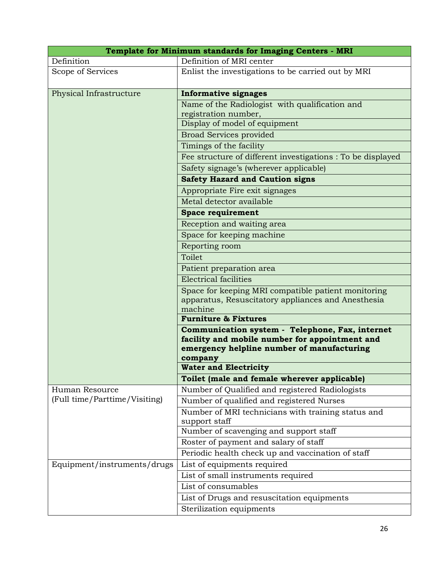| Template for Minimum standards for Imaging Centers - MRI |                                                                                                                                                            |
|----------------------------------------------------------|------------------------------------------------------------------------------------------------------------------------------------------------------------|
| Definition                                               | Definition of MRI center                                                                                                                                   |
| Scope of Services                                        | Enlist the investigations to be carried out by MRI                                                                                                         |
| Physical Infrastructure                                  | <b>Informative signages</b>                                                                                                                                |
|                                                          | Name of the Radiologist with qualification and                                                                                                             |
|                                                          | registration number,                                                                                                                                       |
|                                                          | Display of model of equipment                                                                                                                              |
|                                                          | <b>Broad Services provided</b>                                                                                                                             |
|                                                          | Timings of the facility                                                                                                                                    |
|                                                          | Fee structure of different investigations : To be displayed                                                                                                |
|                                                          | Safety signage's (wherever applicable)                                                                                                                     |
|                                                          | <b>Safety Hazard and Caution signs</b>                                                                                                                     |
|                                                          | Appropriate Fire exit signages                                                                                                                             |
|                                                          | Metal detector available                                                                                                                                   |
|                                                          | <b>Space requirement</b>                                                                                                                                   |
|                                                          | Reception and waiting area                                                                                                                                 |
|                                                          | Space for keeping machine                                                                                                                                  |
|                                                          | Reporting room                                                                                                                                             |
|                                                          | Toilet                                                                                                                                                     |
|                                                          | Patient preparation area                                                                                                                                   |
|                                                          | <b>Electrical facilities</b>                                                                                                                               |
|                                                          | Space for keeping MRI compatible patient monitoring                                                                                                        |
|                                                          | apparatus, Resuscitatory appliances and Anesthesia                                                                                                         |
|                                                          | machine                                                                                                                                                    |
|                                                          | <b>Furniture &amp; Fixtures</b>                                                                                                                            |
|                                                          | Communication system - Telephone, Fax, internet<br>facility and mobile number for appointment and<br>emergency helpline number of manufacturing<br>company |
|                                                          | <b>Water and Electricity</b>                                                                                                                               |
|                                                          | Toilet (male and female wherever applicable)                                                                                                               |
| Human Resource                                           | Number of Qualified and registered Radiologists                                                                                                            |
| (Full time/Parttime/Visiting)                            | Number of qualified and registered Nurses                                                                                                                  |
|                                                          | Number of MRI technicians with training status and                                                                                                         |
|                                                          | support staff                                                                                                                                              |
|                                                          | Number of scavenging and support staff                                                                                                                     |
|                                                          | Roster of payment and salary of staff                                                                                                                      |
|                                                          | Periodic health check up and vaccination of staff                                                                                                          |
| Equipment/instruments/drugs                              | List of equipments required                                                                                                                                |
|                                                          | List of small instruments required                                                                                                                         |
|                                                          | List of consumables                                                                                                                                        |
|                                                          | List of Drugs and resuscitation equipments                                                                                                                 |
|                                                          | Sterilization equipments                                                                                                                                   |